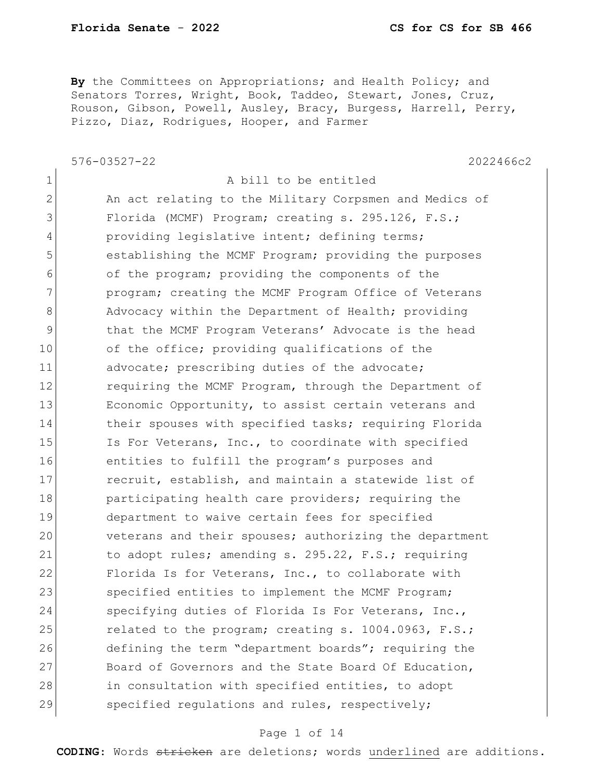1 a bill to be entitled

**By** the Committees on Appropriations; and Health Policy; and Senators Torres, Wright, Book, Taddeo, Stewart, Jones, Cruz, Rouson, Gibson, Powell, Ausley, Bracy, Burgess, Harrell, Perry, Pizzo, Diaz, Rodrigues, Hooper, and Farmer

576-03527-22 2022466c2

2 An act relating to the Military Corpsmen and Medics of 3 Florida (MCMF) Program; creating s. 295.126, F.S.; 4 providing legislative intent; defining terms; 5 **b** establishing the MCMF Program; providing the purposes 6 of the program; providing the components of the 7 **program;** creating the MCMF Program Office of Veterans 8 Advocacy within the Department of Health; providing 9 that the MCMF Program Veterans' Advocate is the head 10 of the office; providing qualifications of the 11 advocate; prescribing duties of the advocate; 12 requiring the MCMF Program, through the Department of 13 Economic Opportunity, to assist certain veterans and 14 their spouses with specified tasks; requiring Florida 15 Is For Veterans, Inc., to coordinate with specified 16 entities to fulfill the program's purposes and 17 recruit, establish, and maintain a statewide list of 18 **participating health care providers; requiring the** 19 department to waive certain fees for specified 20 veterans and their spouses; authorizing the department 21 to adopt rules; amending s. 295.22, F.S.; requiring 22 Florida Is for Veterans, Inc., to collaborate with 23 specified entities to implement the MCMF Program; 24 Specifying duties of Florida Is For Veterans, Inc., 25 related to the program; creating s. 1004.0963, F.S.; 26 defining the term "department boards"; requiring the 27 Board of Governors and the State Board Of Education, 28 in consultation with specified entities, to adopt 29 specified regulations and rules, respectively;

### Page 1 of 14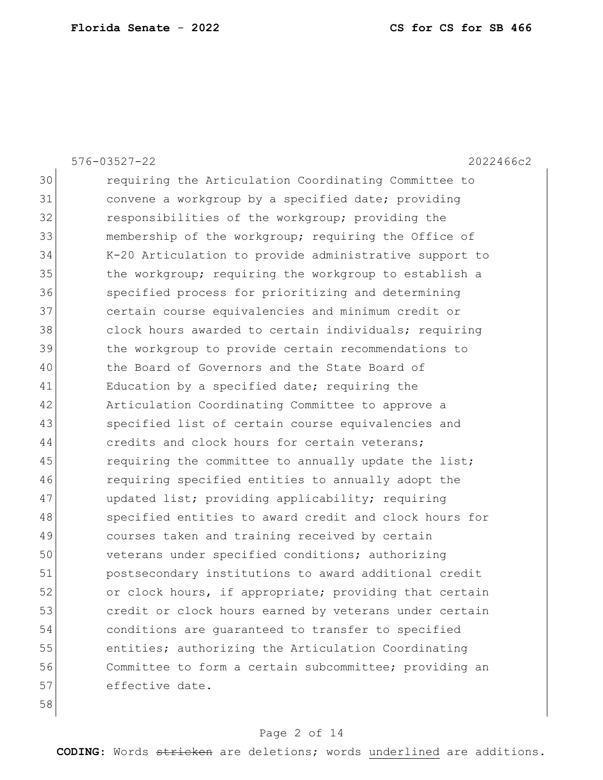|    | $576 - 03527 - 22$<br>2022466c2                        |
|----|--------------------------------------------------------|
| 30 | requiring the Articulation Coordinating Committee to   |
| 31 | convene a workgroup by a specified date; providing     |
| 32 | responsibilities of the workgroup; providing the       |
| 33 | membership of the workgroup; requiring the Office of   |
| 34 | K-20 Articulation to provide administrative support to |
| 35 | the workgroup; requiring the workgroup to establish a  |
| 36 | specified process for prioritizing and determining     |
| 37 | certain course equivalencies and minimum credit or     |
| 38 | clock hours awarded to certain individuals; requiring  |
| 39 | the workgroup to provide certain recommendations to    |
| 40 | the Board of Governors and the State Board of          |
| 41 | Education by a specified date; requiring the           |
| 42 | Articulation Coordinating Committee to approve a       |
| 43 | specified list of certain course equivalencies and     |
| 44 | credits and clock hours for certain veterans;          |
| 45 | requiring the committee to annually update the list;   |
| 46 | requiring specified entities to annually adopt the     |
| 47 | updated list; providing applicability; requiring       |
| 48 | specified entities to award credit and clock hours for |
| 49 | courses taken and training received by certain         |
| 50 | veterans under specified conditions; authorizing       |
| 51 | postsecondary institutions to award additional credit  |
| 52 | or clock hours, if appropriate; providing that certain |
| 53 | credit or clock hours earned by veterans under certain |
| 54 | conditions are guaranteed to transfer to specified     |
| 55 | entities; authorizing the Articulation Coordinating    |
| 56 | Committee to form a certain subcommittee; providing an |
| 57 | effective date.                                        |
| 58 |                                                        |

## Page 2 of 14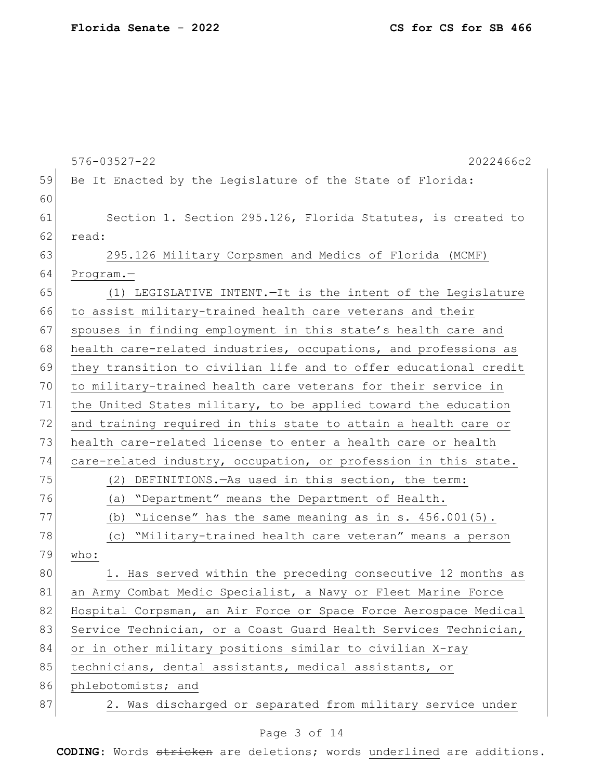|    | $576 - 03527 - 22$<br>2022466c2                                  |
|----|------------------------------------------------------------------|
| 59 | Be It Enacted by the Legislature of the State of Florida:        |
| 60 |                                                                  |
| 61 | Section 1. Section 295.126, Florida Statutes, is created to      |
| 62 | read:                                                            |
| 63 | 295.126 Military Corpsmen and Medics of Florida (MCMF)           |
| 64 | $Program. -$                                                     |
| 65 | (1) LEGISLATIVE INTENT. - It is the intent of the Legislature    |
| 66 | to assist military-trained health care veterans and their        |
| 67 | spouses in finding employment in this state's health care and    |
| 68 | health care-related industries, occupations, and professions as  |
| 69 | they transition to civilian life and to offer educational credit |
| 70 | to military-trained health care veterans for their service in    |
| 71 | the United States military, to be applied toward the education   |
| 72 | and training required in this state to attain a health care or   |
| 73 | health care-related license to enter a health care or health     |
| 74 | care-related industry, occupation, or profession in this state.  |
| 75 | DEFINITIONS. - As used in this section, the term:<br>(2)         |
| 76 | "Department" means the Department of Health.<br>(a)              |
| 77 | "License" has the same meaning as in s. 456.001(5).<br>(b)       |
| 78 | "Military-trained health care veteran" means a person<br>(C)     |
| 79 | who:                                                             |
| 80 | 1. Has served within the preceding consecutive 12 months as      |
| 81 | an Army Combat Medic Specialist, a Navy or Fleet Marine Force    |
| 82 | Hospital Corpsman, an Air Force or Space Force Aerospace Medical |
| 83 | Service Technician, or a Coast Guard Health Services Technician, |
| 84 | or in other military positions similar to civilian X-ray         |
| 85 | technicians, dental assistants, medical assistants, or           |
| 86 | phlebotomists; and                                               |
| 87 | 2. Was discharged or separated from military service under       |
|    |                                                                  |

## Page 3 of 14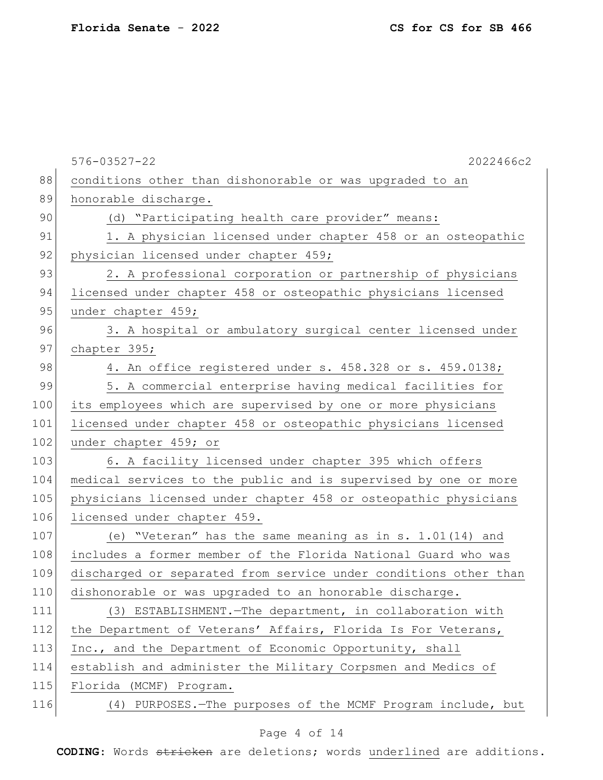|     | $576 - 03527 - 22$<br>2022466c2                                  |
|-----|------------------------------------------------------------------|
| 88  | conditions other than dishonorable or was upgraded to an         |
| 89  | honorable discharge.                                             |
| 90  | (d) "Participating health care provider" means:                  |
| 91  | 1. A physician licensed under chapter 458 or an osteopathic      |
| 92  | physician licensed under chapter 459;                            |
| 93  | 2. A professional corporation or partnership of physicians       |
| 94  | licensed under chapter 458 or osteopathic physicians licensed    |
| 95  | under chapter 459;                                               |
| 96  | 3. A hospital or ambulatory surgical center licensed under       |
| 97  | chapter 395;                                                     |
| 98  | 4. An office registered under s. 458.328 or s. 459.0138;         |
| 99  | 5. A commercial enterprise having medical facilities for         |
| 100 | its employees which are supervised by one or more physicians     |
| 101 | licensed under chapter 458 or osteopathic physicians licensed    |
| 102 | under chapter 459; or                                            |
| 103 | 6. A facility licensed under chapter 395 which offers            |
| 104 | medical services to the public and is supervised by one or more  |
| 105 | physicians licensed under chapter 458 or osteopathic physicians  |
| 106 | licensed under chapter 459.                                      |
| 107 | (e) "Veteran" has the same meaning as in s. 1.01(14) and         |
| 108 | includes a former member of the Florida National Guard who was   |
| 109 | discharged or separated from service under conditions other than |
| 110 | dishonorable or was upgraded to an honorable discharge.          |
| 111 | (3) ESTABLISHMENT. - The department, in collaboration with       |
| 112 | the Department of Veterans' Affairs, Florida Is For Veterans,    |
| 113 | Inc., and the Department of Economic Opportunity, shall          |
| 114 | establish and administer the Military Corpsmen and Medics of     |
| 115 | Florida (MCMF) Program.                                          |
| 116 | (4) PURPOSES. - The purposes of the MCMF Program include, but    |
|     |                                                                  |

## Page 4 of 14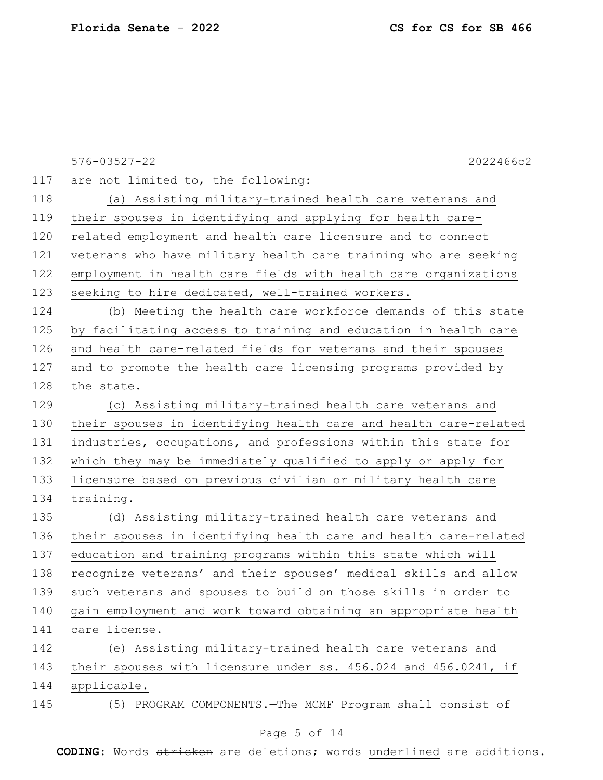|     | $576 - 03527 - 22$<br>2022466c2                                  |
|-----|------------------------------------------------------------------|
| 117 | are not limited to, the following:                               |
| 118 | (a) Assisting military-trained health care veterans and          |
| 119 | their spouses in identifying and applying for health care-       |
| 120 | related employment and health care licensure and to connect      |
| 121 | veterans who have military health care training who are seeking  |
| 122 | employment in health care fields with health care organizations  |
| 123 | seeking to hire dedicated, well-trained workers.                 |
| 124 | (b) Meeting the health care workforce demands of this state      |
| 125 | by facilitating access to training and education in health care  |
| 126 | and health care-related fields for veterans and their spouses    |
| 127 | and to promote the health care licensing programs provided by    |
| 128 | the state.                                                       |
| 129 | (c) Assisting military-trained health care veterans and          |
| 130 | their spouses in identifying health care and health care-related |
| 131 | industries, occupations, and professions within this state for   |
| 132 | which they may be immediately qualified to apply or apply for    |
| 133 | licensure based on previous civilian or military health care     |
| 134 | training.                                                        |
| 135 | (d) Assisting military-trained health care veterans and          |
| 136 | their spouses in identifying health care and health care-related |
| 137 | education and training programs within this state which will     |
| 138 | recognize veterans' and their spouses' medical skills and allow  |
| 139 | such veterans and spouses to build on those skills in order to   |
| 140 | gain employment and work toward obtaining an appropriate health  |
| 141 | care license.                                                    |
| 142 | (e) Assisting military-trained health care veterans and          |
| 143 | their spouses with licensure under ss. 456.024 and 456.0241, if  |
| 144 | applicable.                                                      |
| 145 | (5) PROGRAM COMPONENTS. - The MCMF Program shall consist of      |
|     |                                                                  |

## Page 5 of 14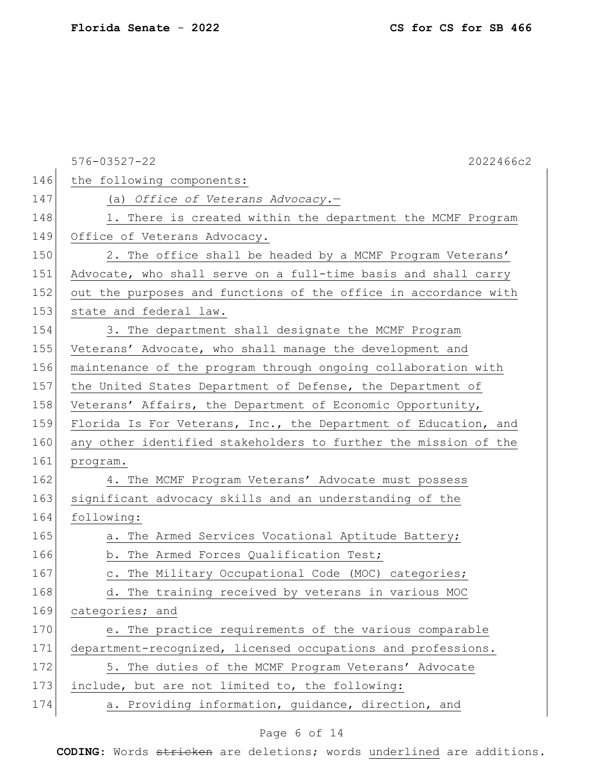|     | $576 - 03527 - 22$<br>2022466c2                                 |
|-----|-----------------------------------------------------------------|
| 146 | the following components:                                       |
| 147 | (a) Office of Veterans Advocacy.-                               |
| 148 | 1. There is created within the department the MCMF Program      |
| 149 | Office of Veterans Advocacy.                                    |
| 150 | 2. The office shall be headed by a MCMF Program Veterans'       |
| 151 | Advocate, who shall serve on a full-time basis and shall carry  |
| 152 | out the purposes and functions of the office in accordance with |
| 153 | state and federal law.                                          |
| 154 | 3. The department shall designate the MCMF Program              |
| 155 | Veterans' Advocate, who shall manage the development and        |
| 156 | maintenance of the program through ongoing collaboration with   |
| 157 | the United States Department of Defense, the Department of      |
| 158 | Veterans' Affairs, the Department of Economic Opportunity,      |
| 159 | Florida Is For Veterans, Inc., the Department of Education, and |
| 160 | any other identified stakeholders to further the mission of the |
| 161 | program.                                                        |
| 162 | 4. The MCMF Program Veterans' Advocate must possess             |
| 163 | significant advocacy skills and an understanding of the         |
| 164 | following:                                                      |
| 165 | a. The Armed Services Vocational Aptitude Battery;              |
| 166 | b. The Armed Forces Qualification Test;                         |
| 167 | c. The Military Occupational Code (MOC) categories;             |
| 168 | The training received by veterans in various MOC<br>d.          |
| 169 | categories; and                                                 |
| 170 | e. The practice requirements of the various comparable          |
| 171 | department-recognized, licensed occupations and professions.    |
| 172 | 5. The duties of the MCMF Program Veterans' Advocate            |
| 173 | include, but are not limited to, the following:                 |
| 174 | a. Providing information, guidance, direction, and              |

## Page 6 of 14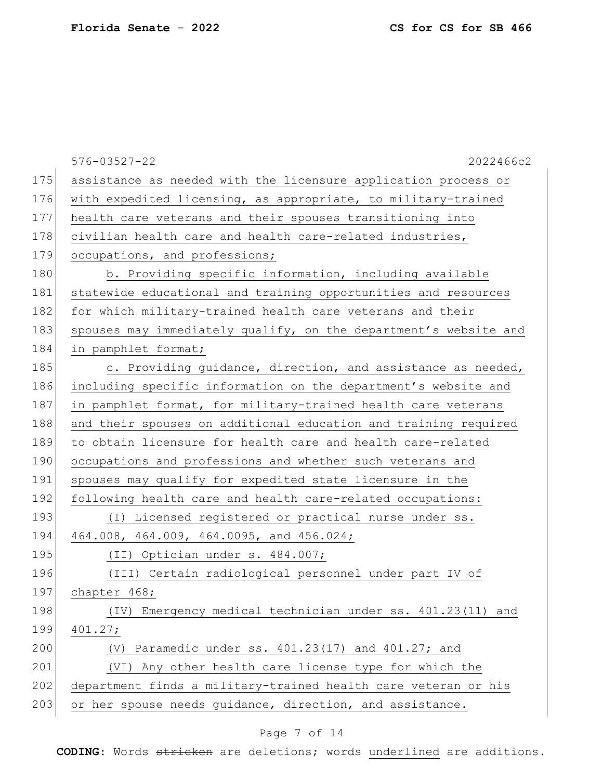|     | $576 - 03527 - 22$<br>2022466c2                                  |
|-----|------------------------------------------------------------------|
| 175 | assistance as needed with the licensure application process or   |
| 176 | with expedited licensing, as appropriate, to military-trained    |
| 177 | health care veterans and their spouses transitioning into        |
| 178 | civilian health care and health care-related industries,         |
| 179 | occupations, and professions;                                    |
| 180 | b. Providing specific information, including available           |
| 181 | statewide educational and training opportunities and resources   |
| 182 | for which military-trained health care veterans and their        |
| 183 | spouses may immediately qualify, on the department's website and |
| 184 | in pamphlet format;                                              |
| 185 | c. Providing guidance, direction, and assistance as needed,      |
| 186 | including specific information on the department's website and   |
| 187 | in pamphlet format, for military-trained health care veterans    |
| 188 | and their spouses on additional education and training required  |
| 189 | to obtain licensure for health care and health care-related      |
| 190 | occupations and professions and whether such veterans and        |
| 191 | spouses may qualify for expedited state licensure in the         |
| 192 | following health care and health care-related occupations:       |
| 193 | (I) Licensed registered or practical nurse under ss.             |
| 194 | 464.008, 464.009, 464.0095, and 456.024;                         |
| 195 | (II) Optician under s. 484.007;                                  |
| 196 | (III) Certain radiological personnel under part IV of            |
| 197 | chapter 468;                                                     |
| 198 | (IV) Emergency medical technician under ss. 401.23(11) and       |
| 199 | 401.27;                                                          |
| 200 | (V) Paramedic under ss. 401.23(17) and 401.27; and               |
| 201 | (VI) Any other health care license type for which the            |
| 202 | department finds a military-trained health care veteran or his   |
| 203 | or her spouse needs quidance, direction, and assistance.         |

## Page 7 of 14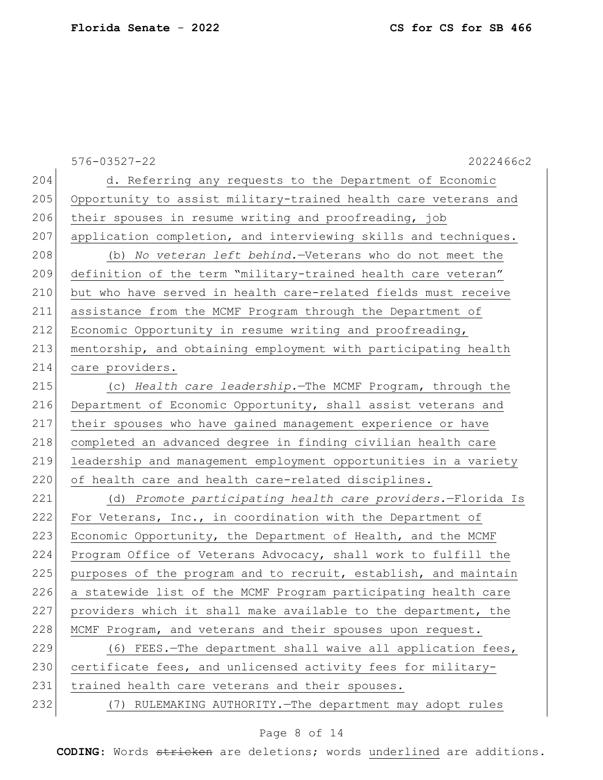|     | $576 - 03527 - 22$<br>2022466c2                                 |
|-----|-----------------------------------------------------------------|
| 204 | d. Referring any requests to the Department of Economic         |
| 205 | Opportunity to assist military-trained health care veterans and |
| 206 | their spouses in resume writing and proofreading, job           |
| 207 | application completion, and interviewing skills and techniques. |
| 208 | (b) No veteran left behind.-Veterans who do not meet the        |
| 209 | definition of the term "military-trained health care veteran"   |
| 210 | but who have served in health care-related fields must receive  |
| 211 | assistance from the MCMF Program through the Department of      |
| 212 | Economic Opportunity in resume writing and proofreading,        |
| 213 | mentorship, and obtaining employment with participating health  |
| 214 | care providers.                                                 |
| 215 | (c) Health care leadership. The MCMF Program, through the       |
| 216 | Department of Economic Opportunity, shall assist veterans and   |
| 217 | their spouses who have gained management experience or have     |
| 218 | completed an advanced degree in finding civilian health care    |
| 219 | leadership and management employment opportunities in a variety |
| 220 | of health care and health care-related disciplines.             |
| 221 | (d) Promote participating health care providers.-Florida Is     |
| 222 | For Veterans, Inc., in coordination with the Department of      |
| 223 | Economic Opportunity, the Department of Health, and the MCMF    |
| 224 | Program Office of Veterans Advocacy, shall work to fulfill the  |
| 225 | purposes of the program and to recruit, establish, and maintain |
| 226 | a statewide list of the MCMF Program participating health care  |
| 227 | providers which it shall make available to the department, the  |
| 228 | MCMF Program, and veterans and their spouses upon request.      |
| 229 | (6) FEES. The department shall waive all application fees,      |
| 230 | certificate fees, and unlicensed activity fees for military-    |
| 231 | trained health care veterans and their spouses.                 |
| 232 | (7) RULEMAKING AUTHORITY. - The department may adopt rules      |

## Page 8 of 14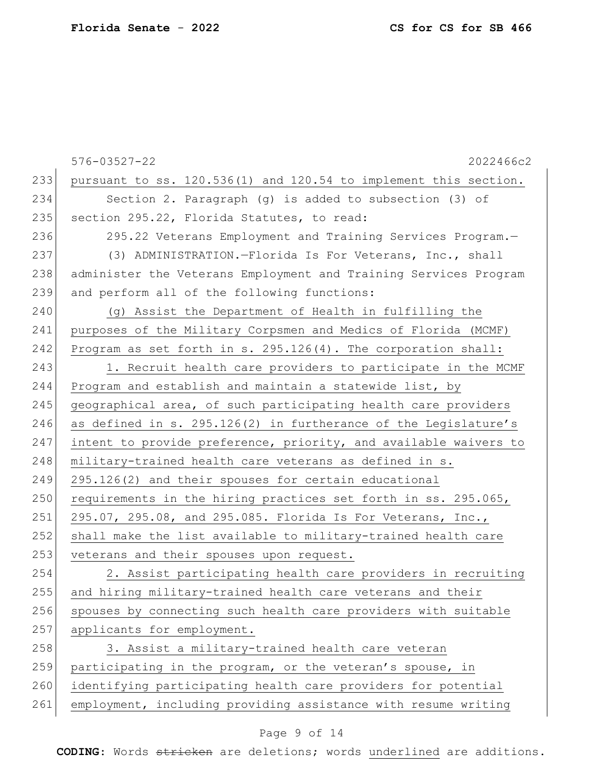|     | $576 - 03527 - 22$<br>2022466c2                                  |
|-----|------------------------------------------------------------------|
| 233 | pursuant to ss. 120.536(1) and 120.54 to implement this section. |
| 234 | Section 2. Paragraph $(q)$ is added to subsection $(3)$ of       |
| 235 | section 295.22, Florida Statutes, to read:                       |
| 236 | 295.22 Veterans Employment and Training Services Program.-       |
| 237 | (3) ADMINISTRATION.-Florida Is For Veterans, Inc., shall         |
| 238 | administer the Veterans Employment and Training Services Program |
| 239 | and perform all of the following functions:                      |
| 240 | (g) Assist the Department of Health in fulfilling the            |
| 241 | purposes of the Military Corpsmen and Medics of Florida (MCMF)   |
| 242 | Program as set forth in s. $295.126(4)$ . The corporation shall: |
| 243 | 1. Recruit health care providers to participate in the MCMF      |
| 244 | Program and establish and maintain a statewide list, by          |
| 245 | geographical area, of such participating health care providers   |
| 246 | as defined in s. 295.126(2) in furtherance of the Legislature's  |
| 247 | intent to provide preference, priority, and available waivers to |
| 248 | military-trained health care veterans as defined in s.           |
| 249 | 295.126(2) and their spouses for certain educational             |
| 250 | requirements in the hiring practices set forth in ss. 295.065,   |
| 251 | 295.07, 295.08, and 295.085. Florida Is For Veterans, Inc.,      |
| 252 | shall make the list available to military-trained health care    |
| 253 | veterans and their spouses upon request.                         |
| 254 | 2. Assist participating health care providers in recruiting      |
| 255 | and hiring military-trained health care veterans and their       |
| 256 | spouses by connecting such health care providers with suitable   |
| 257 | applicants for employment.                                       |
| 258 | 3. Assist a military-trained health care veteran                 |
| 259 | participating in the program, or the veteran's spouse, in        |
| 260 | identifying participating health care providers for potential    |
| 261 | employment, including providing assistance with resume writing   |

## Page 9 of 14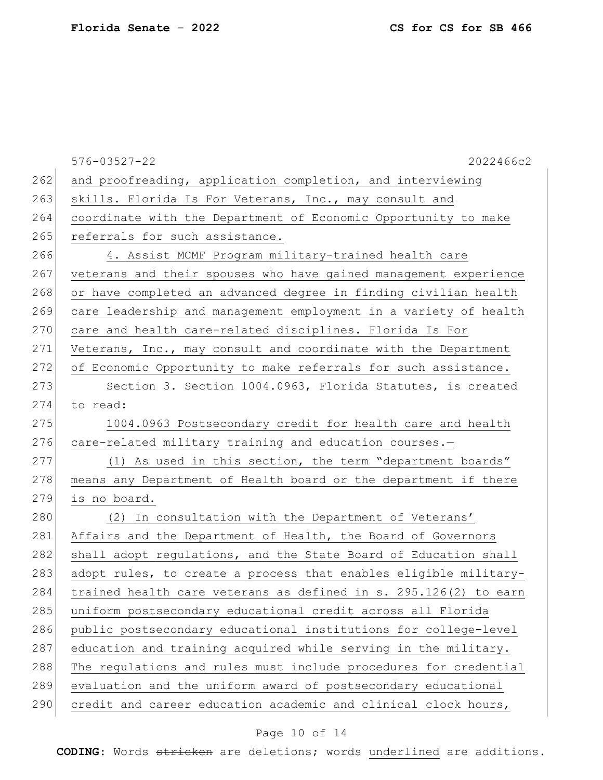| $576 - 03527 - 22$<br>2022466c2                                         |
|-------------------------------------------------------------------------|
| and proofreading, application completion, and interviewing              |
| skills. Florida Is For Veterans, Inc., may consult and                  |
| coordinate with the Department of Economic Opportunity to make          |
| referrals for such assistance.                                          |
| 4. Assist MCMF Program military-trained health care                     |
| veterans and their spouses who have gained management experience        |
| or have completed an advanced degree in finding civilian health         |
| care leadership and management employment in a variety of health        |
| 270<br>care and health care-related disciplines. Florida Is For         |
| Veterans, Inc., may consult and coordinate with the Department          |
| of Economic Opportunity to make referrals for such assistance.          |
| Section 3. Section 1004.0963, Florida Statutes, is created              |
| to read:                                                                |
| 1004.0963 Postsecondary credit for health care and health               |
| 276<br>care-related military training and education courses.-           |
| (1) As used in this section, the term "department boards"               |
| means any Department of Health board or the department if there         |
| is no board.                                                            |
| (2) In consultation with the Department of Veterans'                    |
| Affairs and the Department of Health, the Board of Governors            |
| shall adopt regulations, and the State Board of Education shall         |
| adopt rules, to create a process that enables eligible military-        |
| 284<br>trained health care veterans as defined in s. 295.126(2) to earn |
| uniform postsecondary educational credit across all Florida             |
| public postsecondary educational institutions for college-level         |
| education and training acquired while serving in the military.          |
| The regulations and rules must include procedures for credential        |
| evaluation and the uniform award of postsecondary educational           |
| credit and career education academic and clinical clock hours,          |
|                                                                         |

## Page 10 of 14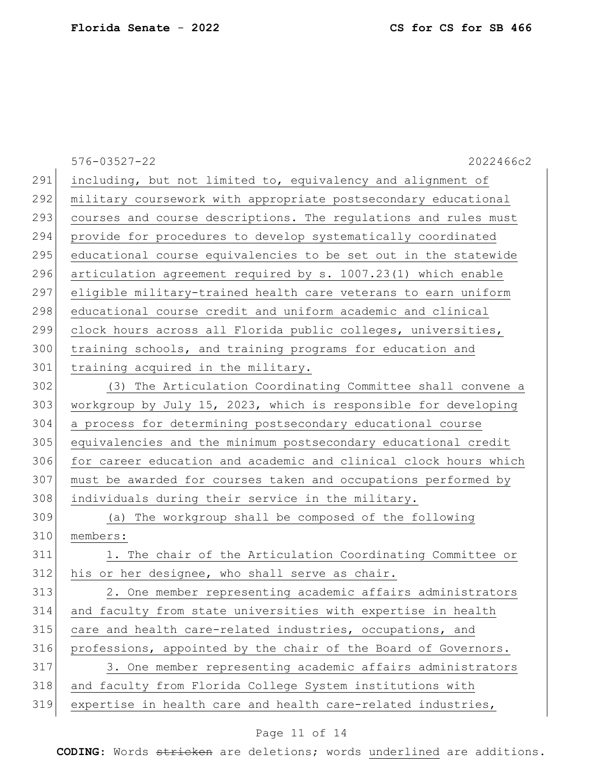|     | $576 - 03527 - 22$<br>2022466c2                                  |
|-----|------------------------------------------------------------------|
| 291 | including, but not limited to, equivalency and alignment of      |
| 292 | military coursework with appropriate postsecondary educational   |
| 293 | courses and course descriptions. The regulations and rules must  |
| 294 | provide for procedures to develop systematically coordinated     |
| 295 | educational course equivalencies to be set out in the statewide  |
| 296 | articulation agreement required by s. 1007.23(1) which enable    |
| 297 | eligible military-trained health care veterans to earn uniform   |
| 298 | educational course credit and uniform academic and clinical      |
| 299 | clock hours across all Florida public colleges, universities,    |
| 300 | training schools, and training programs for education and        |
| 301 | training acquired in the military.                               |
| 302 | (3) The Articulation Coordinating Committee shall convene a      |
| 303 | workgroup by July 15, 2023, which is responsible for developing  |
| 304 | a process for determining postsecondary educational course       |
| 305 | equivalencies and the minimum postsecondary educational credit   |
| 306 | for career education and academic and clinical clock hours which |
| 307 | must be awarded for courses taken and occupations performed by   |
| 308 | individuals during their service in the military.                |
| 309 | (a) The workgroup shall be composed of the following             |
| 310 | members:                                                         |
| 311 | 1. The chair of the Articulation Coordinating Committee or       |
| 312 | his or her designee, who shall serve as chair.                   |
| 313 | 2. One member representing academic affairs administrators       |
| 314 | and faculty from state universities with expertise in health     |
| 315 | care and health care-related industries, occupations, and        |
| 316 | professions, appointed by the chair of the Board of Governors.   |
| 317 | 3. One member representing academic affairs administrators       |
| 318 | and faculty from Florida College System institutions with        |
| 319 | expertise in health care and health care-related industries,     |

## Page 11 of 14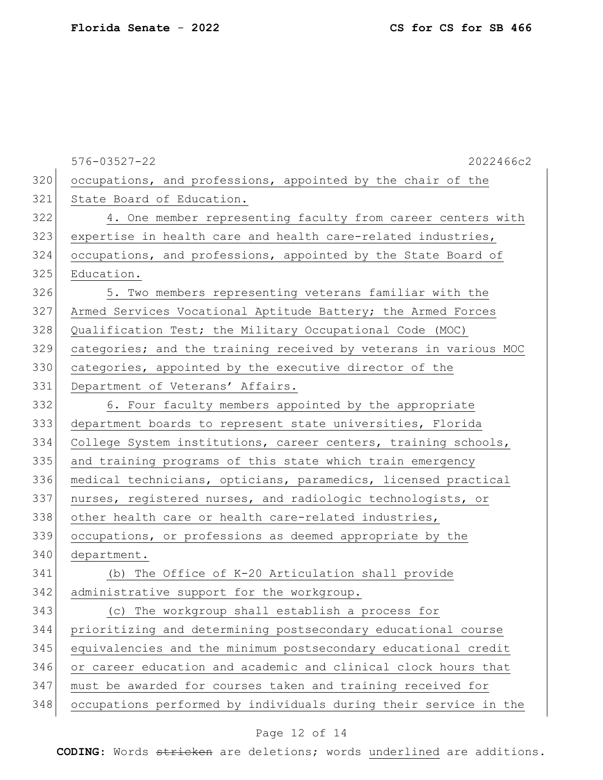|     | $576 - 03527 - 22$<br>2022466c2                                  |
|-----|------------------------------------------------------------------|
| 320 | occupations, and professions, appointed by the chair of the      |
| 321 | State Board of Education.                                        |
| 322 | 4. One member representing faculty from career centers with      |
| 323 | expertise in health care and health care-related industries,     |
| 324 | occupations, and professions, appointed by the State Board of    |
| 325 | Education.                                                       |
| 326 | 5. Two members representing veterans familiar with the           |
| 327 | Armed Services Vocational Aptitude Battery; the Armed Forces     |
| 328 | Qualification Test; the Military Occupational Code (MOC)         |
| 329 | categories; and the training received by veterans in various MOC |
| 330 | categories, appointed by the executive director of the           |
| 331 | Department of Veterans' Affairs.                                 |
| 332 | 6. Four faculty members appointed by the appropriate             |
| 333 | department boards to represent state universities, Florida       |
| 334 | College System institutions, career centers, training schools,   |
| 335 | and training programs of this state which train emergency        |
| 336 | medical technicians, opticians, paramedics, licensed practical   |
| 337 | nurses, registered nurses, and radiologic technologists, or      |
| 338 | other health care or health care-related industries,             |
| 339 | occupations, or professions as deemed appropriate by the         |
| 340 | department.                                                      |
| 341 | (b) The Office of K-20 Articulation shall provide                |
| 342 | administrative support for the workgroup.                        |
| 343 | (c) The workgroup shall establish a process for                  |
| 344 | prioritizing and determining postsecondary educational course    |
| 345 | equivalencies and the minimum postsecondary educational credit   |
| 346 | or career education and academic and clinical clock hours that   |
| 347 | must be awarded for courses taken and training received for      |
| 348 | occupations performed by individuals during their service in the |

## Page 12 of 14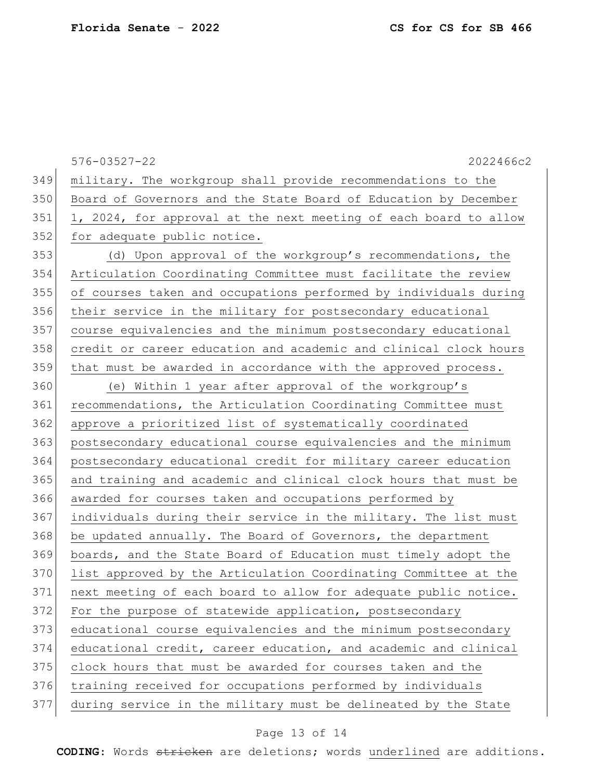|     | $576 - 03527 - 22$<br>2022466c2                                  |
|-----|------------------------------------------------------------------|
| 349 | military. The workgroup shall provide recommendations to the     |
| 350 | Board of Governors and the State Board of Education by December  |
| 351 | 1, 2024, for approval at the next meeting of each board to allow |
| 352 | for adequate public notice.                                      |
| 353 | (d) Upon approval of the workgroup's recommendations, the        |
| 354 | Articulation Coordinating Committee must facilitate the review   |
| 355 | of courses taken and occupations performed by individuals during |
| 356 | their service in the military for postsecondary educational      |
| 357 | course equivalencies and the minimum postsecondary educational   |
| 358 | credit or career education and academic and clinical clock hours |
| 359 | that must be awarded in accordance with the approved process.    |
| 360 | (e) Within 1 year after approval of the workgroup's              |
| 361 | recommendations, the Articulation Coordinating Committee must    |
| 362 | approve a prioritized list of systematically coordinated         |
| 363 | postsecondary educational course equivalencies and the minimum   |
| 364 | postsecondary educational credit for military career education   |
| 365 | and training and academic and clinical clock hours that must be  |
| 366 | awarded for courses taken and occupations performed by           |
| 367 | individuals during their service in the military. The list must  |
| 368 | be updated annually. The Board of Governors, the department      |
| 369 | boards, and the State Board of Education must timely adopt the   |
| 370 | list approved by the Articulation Coordinating Committee at the  |
| 371 | next meeting of each board to allow for adequate public notice.  |
| 372 | For the purpose of statewide application, postsecondary          |
| 373 | educational course equivalencies and the minimum postsecondary   |
| 374 | educational credit, career education, and academic and clinical  |
| 375 | clock hours that must be awarded for courses taken and the       |
| 376 | training received for occupations performed by individuals       |
| 377 | during service in the military must be delineated by the State   |
|     |                                                                  |

## Page 13 of 14